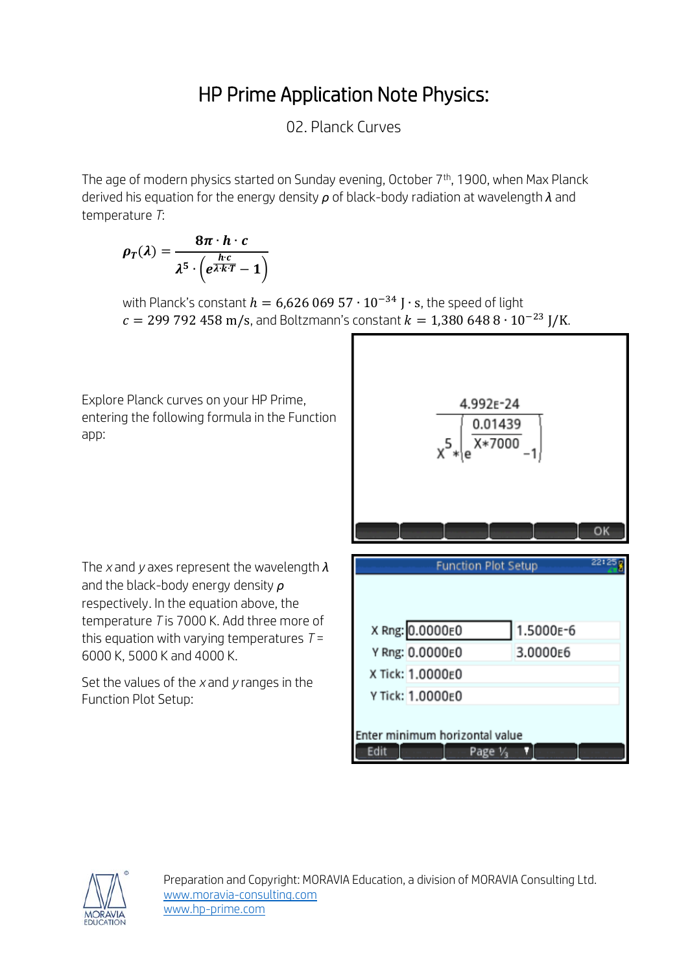## HP Prime Application Note Physics:

02. Planck Curves

The age of modern physics started on Sunday evening, October 7<sup>th</sup>, 1900, when Max Planck derived his equation for the energy density *ρ* of black-body radiation at wavelength *λ* and temperature *T*:

$$
\rho_T(\lambda) = \frac{8\pi \cdot h \cdot c}{\lambda^5 \cdot \left(e^{\frac{h \cdot c}{\lambda \cdot k \cdot T}} - 1\right)}
$$

with Planck's constant  $h = 6{,}62606957 \cdot 10^{-34}$  J  $\cdot$  s, the speed of light  $c = 299 792 458$  m/s, and Boltzmann's constant  $k = 1,380 648 8 \cdot 10^{-23}$  J/K.

Explore Planck curves on your HP Prime, entering the following formula in the Function app:



The *x* and *y* axes represent the wavelength *λ* and the black-body energy density *ρ* respectively. In the equation above, the temperature *T* is 7000 K. Add three more of this equation with varying temperatures *T* = 6000 K, 5000 K and 4000 K.

Set the values of the *x* and *y* ranges in the Function Plot Setup: